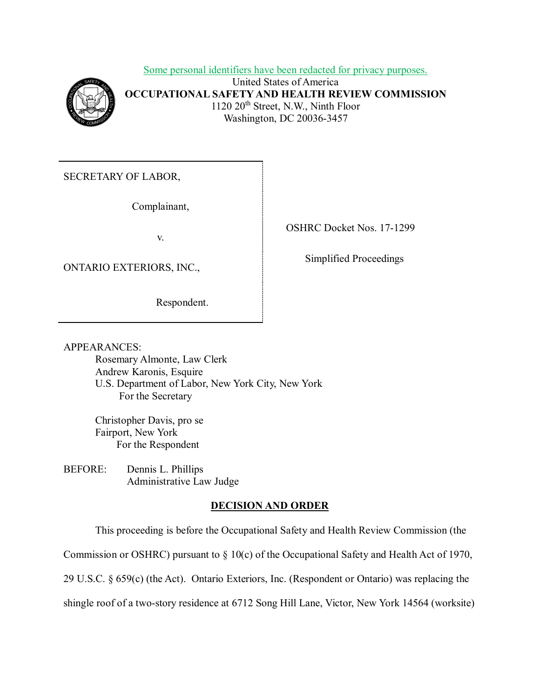Some personal identifiers have been redacted for privacy purposes. United States of America **OCCUPATIONAL SAFETY AND HEALTH REVIEW COMMISSION**  1120 20<sup>th</sup> Street, N.W., Ninth Floor Washington, DC 20036-3457

SECRETARY OF LABOR,

Complainant,

v.

ONTARIO EXTERIORS, INC., Simplified Proceedings

Respondent.

OSHRC Docket Nos. 17-1299

**APPEARANCES:** 

 U.S. Department of Labor, New York City, New York Rosemary Almonte, Law Clerk Andrew Karonis, Esquire For the Secretary

Christopher Davis, pro se Fairport, New York For the Respondent

BEFORE: Dennis L. Phillips Administrative Law Judge

# **DECISION AND ORDER**

This proceeding is before the Occupational Safety and Health Review Commission (the

Commission or OSHRC) pursuant to § 10(c) of the Occupational Safety and Health Act of 1970,

29 U.S.C. § 659(c) (the Act). Ontario Exteriors, Inc. (Respondent or Ontario) was replacing the

shingle roof of a two-story residence at 6712 Song Hill Lane, Victor, New York 14564 (worksite)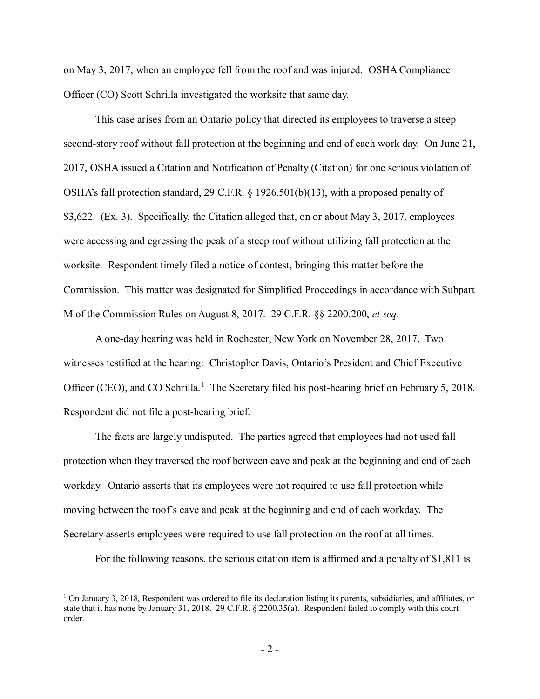Officer (CO) Scott Schrilla investigated the worksite that same day. on May 3, 2017, when an employee fell from the roof and was injured. OSHA Compliance

 second-story roof without fall protection at the beginning and end of each work day. On June 21, 2017, OSHA issued a Citation and Notification of Penalty (Citation) for one serious violation of OSHA's fall protection standard, 29 C.F.R. § 1926.501(b)(13), with a proposed penalty of \$3,622. (Ex. 3). Specifically, the Citation alleged that, on or about May 3, 2017, employees were accessing and egressing the peak of a steep roof without utilizing fall protection at the worksite. Respondent timely filed a notice of contest, bringing this matter before the M of the Commission Rules on August 8, 2017. 29 C.F.R. §§ 2200.200, *et seq*. This case arises from an Ontario policy that directed its employees to traverse a steep Commission. This matter was designated for Simplified Proceedings in accordance with Subpart

 A one-day hearing was held in Rochester, New York on November 28, 2017. Two witnesses testified at the hearing: Christopher Davis, Ontario's President and Chief Executive Officer (CEO), and CO Schrilla.<sup>[1](#page-1-0)</sup> The Secretary filed his post-hearing brief on February 5, 2018. Respondent did not file a post-hearing brief.

 The facts are largely undisputed. The parties agreed that employees had not used fall protection when they traversed the roof between eave and peak at the beginning and end of each workday. Ontario asserts that its employees were not required to use fall protection while moving between the roof's eave and peak at the beginning and end of each workday. The Secretary asserts employees were required to use fall protection on the roof at all times.

For the following reasons, the serious citation item is affirmed and a penalty of \$1,811 is

<span id="page-1-0"></span> state that it has none by January 31, 2018. 29 C.F.R. § 2200.35(a). Respondent failed to comply with this court order.  $1$  On January 3, 2018, Respondent was ordered to file its declaration listing its parents, subsidiaries, and affiliates, or order.<br>- 2 -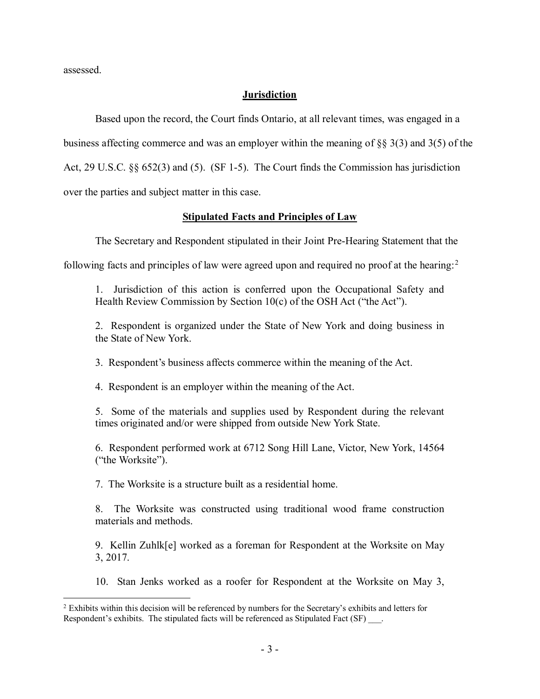assessed.

<u>.</u>

### **Jurisdiction**

 Based upon the record, the Court finds Ontario, at all relevant times, was engaged in a Act, 29 U.S.C. §§ 652(3) and (5). (SF 1-5). The Court finds the Commission has jurisdiction over the parties and subject matter in this case. business affecting commerce and was an employer within the meaning of §§ 3(3) and 3(5) of the

## **Stipulated Facts and Principles of Law**

The Secretary and Respondent stipulated in their Joint Pre-Hearing Statement that the

following facts and principles of law were agreed upon and required no proof at the hearing:<sup>2</sup>

 1. Jurisdiction of this action is conferred upon the Occupational Safety and Health Review Commission by Section 10(c) of the OSH Act ("the Act").

 2. Respondent is organized under the State of New York and doing business in the State of New York.

3. Respondent's business affects commerce within the meaning of the Act.

4. Respondent is an employer within the meaning of the Act.

 5. Some of the materials and supplies used by Respondent during the relevant times originated and/or were shipped from outside New York State.

 6. Respondent performed work at 6712 Song Hill Lane, Victor, New York, 14564 ("the Worksite").

7. The Worksite is a structure built as a residential home.

 8. The Worksite was constructed using traditional wood frame construction materials and methods.

 9. Kellin Zuhlk[e] worked as a foreman for Respondent at the Worksite on May 3, 2017.

10. Stan Jenks worked as a roofer for Respondent at the Worksite on May 3,

<span id="page-2-0"></span> $2$  Exhibits within this decision will be referenced by numbers for the Secretary's exhibits and letters for Respondent's exhibits. The stipulated facts will be referenced as Stipulated Fact (SF)  $\qquad \qquad$ .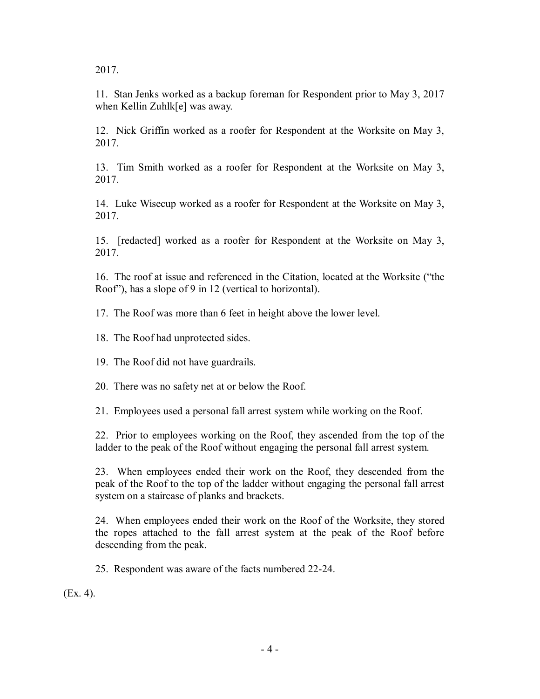2017.

 11. Stan Jenks worked as a backup foreman for Respondent prior to May 3, 2017 when Kellin Zuhlk[e] was away.

 12. Nick Griffin worked as a roofer for Respondent at the Worksite on May 3, 2017.

 13. Tim Smith worked as a roofer for Respondent at the Worksite on May 3, 2017.

 14. Luke Wisecup worked as a roofer for Respondent at the Worksite on May 3, 2017.

 15. [redacted] worked as a roofer for Respondent at the Worksite on May 3, 2017.

 16. The roof at issue and referenced in the Citation, located at the Worksite ("the Roof"), has a slope of 9 in 12 (vertical to horizontal).

17. The Roof was more than 6 feet in height above the lower level.

18. The Roof had unprotected sides.

19. The Roof did not have guardrails.

20. There was no safety net at or below the Roof.

21. Employees used a personal fall arrest system while working on the Roof.

 22. Prior to employees working on the Roof, they ascended from the top of the ladder to the peak of the Roof without engaging the personal fall arrest system.

 23. When employees ended their work on the Roof, they descended from the peak of the Roof to the top of the ladder without engaging the personal fall arrest system on a staircase of planks and brackets.

 24. When employees ended their work on the Roof of the Worksite, they stored the ropes attached to the fall arrest system at the peak of the Roof before descending from the peak.

25. Respondent was aware of the facts numbered 22-24.

(Ex. 4).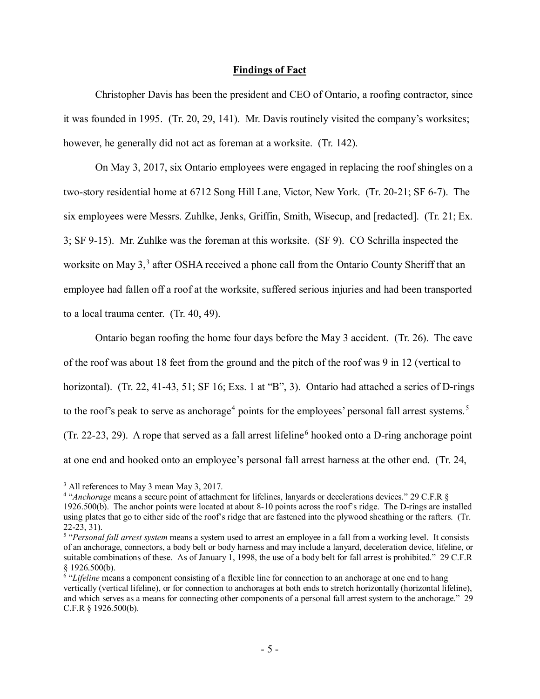#### **Findings of Fact**

 Christopher Davis has been the president and CEO of Ontario, a roofing contractor, since it was founded in 1995. (Tr. 20, 29, 141). Mr. Davis routinely visited the company's worksites; however, he generally did not act as foreman at a worksite. (Tr. 142).

 two-story residential home at 6712 Song Hill Lane, Victor, New York. (Tr. 20-21; SF 6-7). The 3; SF 9-15). Mr. Zuhlke was the foreman at this worksite. (SF 9). CO Schrilla inspected the employee had fallen off a roof at the worksite, suffered serious injuries and had been transported to a local trauma center. (Tr. 40, 49). On May 3, 2017, six Ontario employees were engaged in replacing the roof shingles on a six employees were Messrs. Zuhlke, Jenks, Griffin, Smith, Wisecup, and [redacted]. (Tr. 21; Ex. worksite on May 3,<sup>3</sup> after OSHA received a phone call from the Ontario County Sheriff that an

 Ontario began roofing the home four days before the May 3 accident. (Tr. 26). The eave of the roof was about 18 feet from the ground and the pitch of the roof was 9 in 12 (vertical to horizontal). (Tr. 22, 41-43, 51; SF 16; Exs. 1 at "B", 3). Ontario had attached a series of D-rings to the roof's peak to serve as anchorage<sup>4</sup> points for the employees' personal fall arrest systems.<sup>5</sup> (Tr. 22-23, 29). A rope that served as a fall arrest lifeline<sup>[6](#page-4-3)</sup> hooked onto a D-ring anchorage point at one end and hooked onto an employee's personal fall arrest harness at the other end. (Tr. 24,

<span id="page-4-0"></span><sup>&</sup>lt;sup>3</sup> All references to May 3 mean May 3, 2017.

<span id="page-4-1"></span><sup>&</sup>lt;sup>3</sup> All references to May 3 mean May 3, 2017.<br><sup>4</sup> "*Anchorage* means a secure point of attachment for lifelines, lanyards or decelerations devices." 29 C.F.R § 1926.500(b). The anchor points were located at about 8-10 points across the roof's ridge. The D-rings are installed using plates that go to either side of the roof's ridge that are fastened into the plywood sheathing or the rafters. (Tr. 22-23, 31).

<span id="page-4-2"></span> suitable combinations of these. As of January 1, 1998, the use of a body belt for fall arrest is prohibited." 29 C.F.R <sup>5</sup> "*Personal fall arrest system* means a system used to arrest an employee in a fall from a working level. It consists of an anchorage, connectors, a body belt or body harness and may include a lanyard, deceleration device, lifeline, or § 1926.500(b).

<span id="page-4-3"></span><sup>&</sup>lt;sup>6</sup> "Lifeline means a component consisting of a flexible line for connection to an anchorage at one end to hang and which serves as a means for connecting other components of a personal fall arrest system to the anchorage." 29 vertically (vertical lifeline), or for connection to anchorages at both ends to stretch horizontally (horizontal lifeline), C.F.R § 1926.500(b).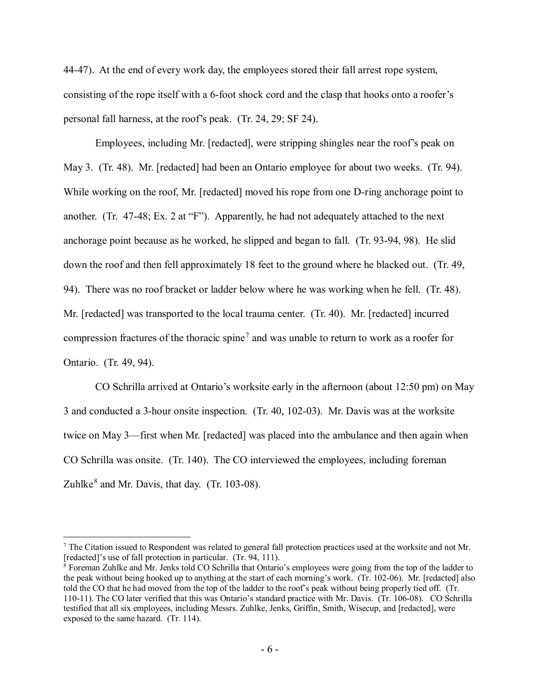44-47). At the end of every work day, the employees stored their fall arrest rope system, personal fall harness, at the roof's peak. (Tr. 24, 29; SF 24). consisting of the rope itself with a 6-foot shock cord and the clasp that hooks onto a roofer's

 Employees, including Mr. [redacted], were stripping shingles near the roof's peak on May 3. (Tr. 48). Mr. [redacted] had been an Ontario employee for about two weeks. (Tr. 94). While working on the roof, Mr. [redacted] moved his rope from one D-ring anchorage point to another. (Tr. 47-48; Ex. 2 at "F"). Apparently, he had not adequately attached to the next anchorage point because as he worked, he slipped and began to fall. (Tr. 93-94, 98). He slid 94). There was no roof bracket or ladder below where he was working when he fell. (Tr. 48). Mr. [redacted] was transported to the local trauma center. (Tr. 40). Mr. [redacted] incurred compression fractures of the thoracic spine<sup>7</sup> and was unable to return to work as a roofer for Ontario. (Tr. 49, 94). down the roof and then fell approximately 18 feet to the ground where he blacked out. (Tr. 49,

 3 and conducted a 3-hour onsite inspection. (Tr. 40, 102-03). Mr. Davis was at the worksite twice on May 3—first when Mr. [redacted] was placed into the ambulance and then again when CO Schrilla was onsite. (Tr. 140). The CO interviewed the employees, including foreman CO Schrilla arrived at Ontario's worksite early in the afternoon (about 12:50 pm) on May Zuhlke $<sup>8</sup>$  and Mr. Davis, that day. (Tr. 103-08).</sup>

-

<span id="page-5-0"></span> $7$  The Citation issued to Respondent was related to general fall protection practices used at the worksite and not Mr. [redacted]'s use of fall protection in particular. (Tr. 94, 111).

<span id="page-5-1"></span> the peak without being hooked up to anything at the start of each morning's work. (Tr. 102-06). Mr. [redacted] also told the CO that he had moved from the top of the ladder to the roof's peak without being properly tied off. (Tr. exposed to the same hazard. (Tr. 114).  $8$  Foreman Zuhlke and Mr. Jenks told CO Schrilla that Ontario's employees were going from the top of the ladder to 110-11). The CO later verified that this was Ontario's standard practice with Mr. Davis. (Tr. 106-08). CO Schrilla testified that all six employees, including Messrs. Zuhlke, Jenks, Griffin, Smith, Wisecup, and [redacted], were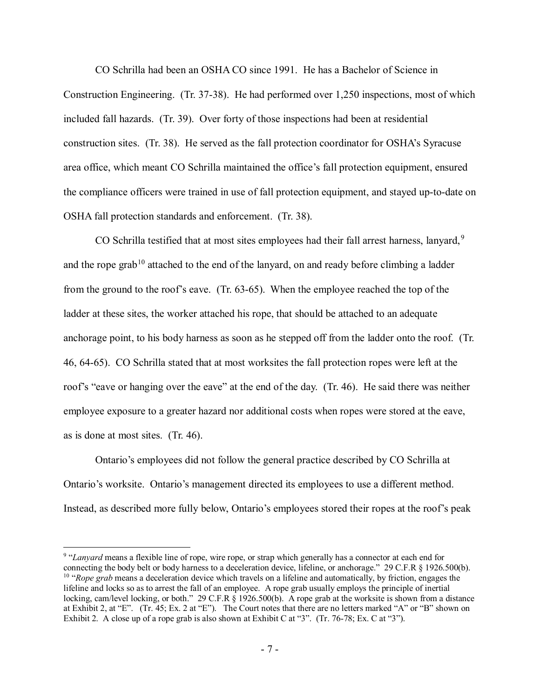CO Schrilla had been an OSHA CO since 1991. He has a Bachelor of Science in included fall hazards. (Tr. 39). Over forty of those inspections had been at residential construction sites. (Tr. 38). He served as the fall protection coordinator for OSHA's Syracuse the compliance officers were trained in use of fall protection equipment, and stayed up-to-date on Construction Engineering. (Tr. 37-38). He had performed over 1,250 inspections, most of which area office, which meant CO Schrilla maintained the office's fall protection equipment, ensured OSHA fall protection standards and enforcement. (Tr. 38).

CO Schrilla testified that at most sites employees had their fall arrest harness, lanyard,<sup>9</sup> and the rope grab<sup>[10](#page-6-1)</sup> attached to the end of the lanyard, on and ready before climbing a ladder from the ground to the roof's eave. (Tr. 63-65). When the employee reached the top of the ladder at these sites, the worker attached his rope, that should be attached to an adequate anchorage point, to his body harness as soon as he stepped off from the ladder onto the roof. (Tr. 46, 64-65). CO Schrilla stated that at most worksites the fall protection ropes were left at the roof's "eave or hanging over the eave" at the end of the day. (Tr. 46). He said there was neither employee exposure to a greater hazard nor additional costs when ropes were stored at the eave, as is done at most sites. (Tr. 46).

Ontario's worksite. Ontario's management directed its employees to use a different method. Ontario's worksite. Ontario's management directed its employees to use a different method. Instead, as described more fully below, Ontario's employees stored their ropes at the roof's peak Ontario's employees did not follow the general practice described by CO Schrilla at

<span id="page-6-1"></span><span id="page-6-0"></span> <sup>9</sup> "*Lanyard* means a flexible line of rope, wire rope, or strap which generally has a connector at each end for connecting the body belt or body harness to a deceleration device, lifeline, or anchorage." 29 C.F.R § 1926.500(b). 10 "*Rope grab* means a deceleration device which travels on a lifeline and automatically, by friction, engages the locking, cam/level locking, or both." 29 C.F.R § 1926.500(b). A rope grab at the worksite is shown from a distance at Exhibit 2, at "E". (Tr. 45; Ex. 2 at "E"). The Court notes that there are no letters marked "A" or "B" shown on Exhibit 2. A close up of a rope grab is also shown at Exhibit C at "3". (Tr. 76-78; Ex. C at "3"). lifeline and locks so as to arrest the fall of an employee. A rope grab usually employs the principle of inertial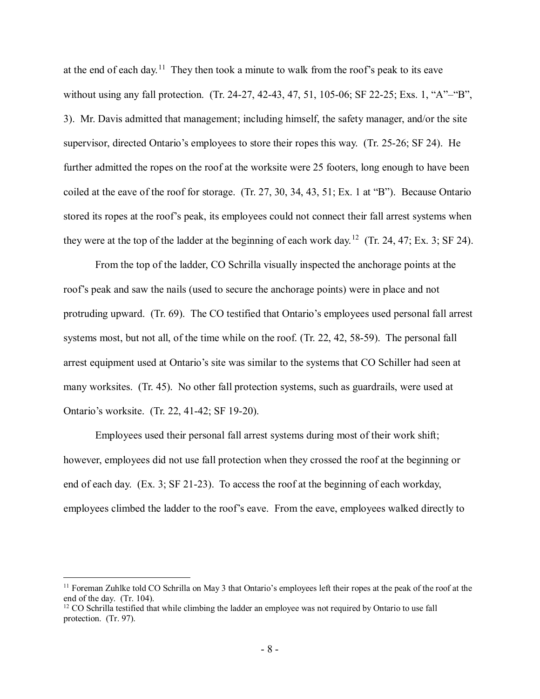at the end of each day.<sup>11</sup> They then took a minute to walk from the roof's peak to its eave without using any fall protection. (Tr. 24-27, 42-43, 47, 51, 105-06; SF 22-25; Exs. 1, "A"–"B", 3). Mr. Davis admitted that management; including himself, the safety manager, and/or the site supervisor, directed Ontario's employees to store their ropes this way. (Tr. 25-26; SF 24). He further admitted the ropes on the roof at the worksite were 25 footers, long enough to have been they were at the top of the ladder at the beginning of each work day.<sup>[12](#page-7-1)</sup> (Tr. 24, 47; Ex. 3; SF 24). coiled at the eave of the roof for storage. (Tr. 27, 30, 34, 43, 51; Ex. 1 at "B"). Because Ontario stored its ropes at the roof's peak, its employees could not connect their fall arrest systems when

 roof's peak and saw the nails (used to secure the anchorage points) were in place and not protruding upward. (Tr. 69). The CO testified that Ontario's employees used personal fall arrest systems most, but not all, of the time while on the roof. (Tr. 22, 42, 58-59). The personal fall arrest equipment used at Ontario's site was similar to the systems that CO Schiller had seen at many worksites. (Tr. 45). No other fall protection systems, such as guardrails, were used at Ontario's worksite. (Tr. 22, 41-42; SF 19-20). From the top of the ladder, CO Schrilla visually inspected the anchorage points at the

 Employees used their personal fall arrest systems during most of their work shift; however, employees did not use fall protection when they crossed the roof at the beginning or end of each day. (Ex. 3; SF 21-23). To access the roof at the beginning of each workday, employees climbed the ladder to the roof's eave. From the eave, employees walked directly to

-

<span id="page-7-0"></span><sup>&</sup>lt;sup>11</sup> Foreman Zuhlke told CO Schrilla on May 3 that Ontario's employees left their ropes at the peak of the roof at the end of the day. (Tr. 104). end of the day. (Tr. 104).<br><sup>12</sup> CO Schrilla testified that while climbing the ladder an employee was not required by Ontario to use fall

<span id="page-7-1"></span> protection. (Tr. 97).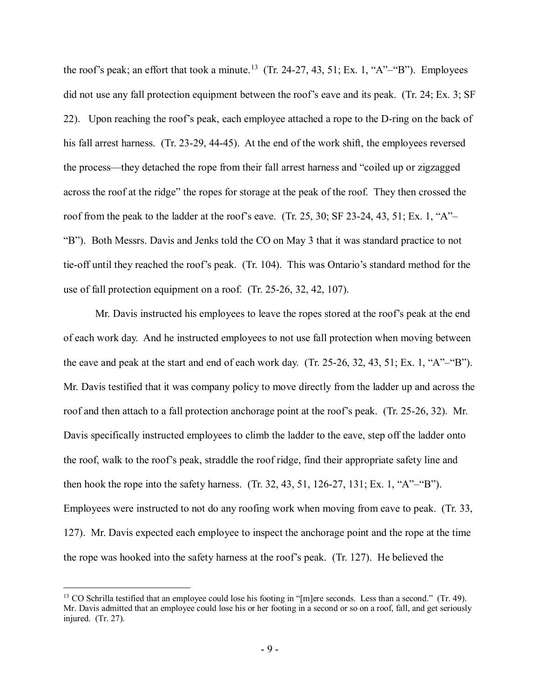the roof's peak; an effort that took a minute.<sup>13</sup> (Tr. 24-27, 43, 51; Ex. 1, "A"–"B"). Employees did not use any fall protection equipment between the roof's eave and its peak. (Tr. 24; Ex. 3; SF 22). Upon reaching the roof's peak, each employee attached a rope to the D-ring on the back of his fall arrest harness. (Tr. 23-29, 44-45). At the end of the work shift, the employees reversed across the roof at the ridge" the ropes for storage at the peak of the roof. They then crossed the "B"). Both Messrs. Davis and Jenks told the CO on May 3 that it was standard practice to not tie-off until they reached the roof's peak. (Tr. 104). This was Ontario's standard method for the use of fall protection equipment on a roof. (Tr. 25-26, 32, 42, 107). the process—they detached the rope from their fall arrest harness and "coiled up or zigzagged roof from the peak to the ladder at the roof's eave. (Tr. 25, 30; SF 23-24, 43, 51; Ex. 1, "A"–

 of each work day. And he instructed employees to not use fall protection when moving between Mr. Davis testified that it was company policy to move directly from the ladder up and across the roof and then attach to a fall protection anchorage point at the roof's peak. (Tr. 25-26, 32). Mr. Davis specifically instructed employees to climb the ladder to the eave, step off the ladder onto the roof, walk to the roof's peak, straddle the roof ridge, find their appropriate safety line and then hook the rope into the safety harness. (Tr. 32, 43, 51, 126-27, 131; Ex. 1, "A"–"B"). 127). Mr. Davis expected each employee to inspect the anchorage point and the rope at the time the rope was hooked into the safety harness at the roof's peak. (Tr. 127). He believed the Mr. Davis instructed his employees to leave the ropes stored at the roof's peak at the end the eave and peak at the start and end of each work day. (Tr. 25-26, 32, 43, 51; Ex. 1, "A"–"B"). Employees were instructed to not do any roofing work when moving from eave to peak. (Tr. 33,

<span id="page-8-0"></span><sup>&</sup>lt;sup>13</sup> CO Schrilla testified that an employee could lose his footing in "[m]ere seconds. Less than a second." (Tr. 49). Mr. Davis admitted that an employee could lose his or her footing in a second or so on a roof, fall, and get seriously injured. (Tr. 27).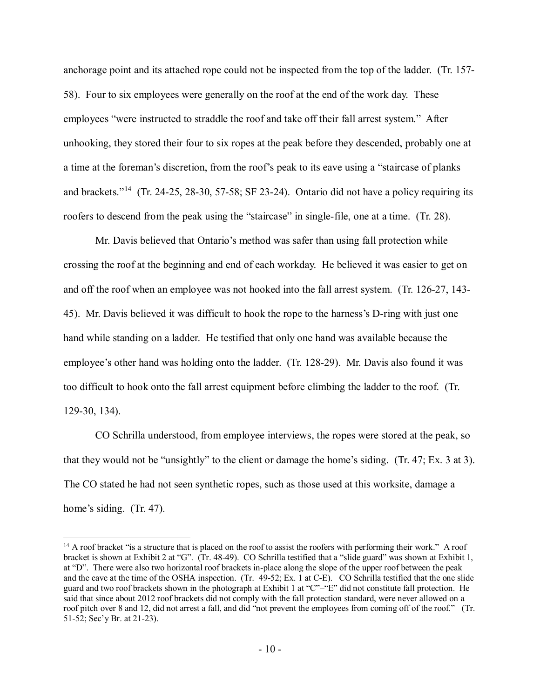anchorage point and its attached rope could not be inspected from the top of the ladder. (Tr. 157- 58). Four to six employees were generally on the roof at the end of the work day. These employees "were instructed to straddle the roof and take off their fall arrest system." After unhooking, they stored their four to six ropes at the peak before they descended, probably one at a time at the foreman's discretion, from the roof's peak to its eave using a "staircase of planks and brackets."<sup>[14](#page-9-0)</sup> (Tr. 24-25, 28-30, 57-58; SF 23-24). Ontario did not have a policy requiring its roofers to descend from the peak using the "staircase" in single-file, one at a time. (Tr. 28).

 crossing the roof at the beginning and end of each workday. He believed it was easier to get on and off the roof when an employee was not hooked into the fall arrest system. (Tr. 126-27, 143- 45). Mr. Davis believed it was difficult to hook the rope to the harness's D-ring with just one hand while standing on a ladder. He testified that only one hand was available because the employee's other hand was holding onto the ladder. (Tr. 128-29). Mr. Davis also found it was too difficult to hook onto the fall arrest equipment before climbing the ladder to the roof. (Tr. 129-30, 134). Mr. Davis believed that Ontario's method was safer than using fall protection while

 CO Schrilla understood, from employee interviews, the ropes were stored at the peak, so that they would not be "unsightly" to the client or damage the home's siding. (Tr. 47; Ex. 3 at 3). The CO stated he had not seen synthetic ropes, such as those used at this worksite, damage a home's siding. (Tr. 47).

<span id="page-9-0"></span> $\overline{a}$ 

home's siding. (Tr. 47).<br><sup>14</sup> A roof bracket "is a structure that is placed on the roof to assist the roofers with performing their work." A roof bracket is shown at Exhibit 2 at "G". (Tr. 48-49). CO Schrilla testified that a "slide guard" was shown at Exhibit 1, at "D". There were also two horizontal roof brackets in-place along the slope of the upper roof between the peak and the eave at the time of the OSHA inspection. (Tr. 49-52; Ex. 1 at C-E). CO Schrilla testified that the one slide guard and two roof brackets shown in the photograph at Exhibit 1 at "C"–"E" did not constitute fall protection. He said that since about 2012 roof brackets did not comply with the fall protection standard, were never allowed on a roof pitch over 8 and 12, did not arrest a fall, and did "not prevent the employees from coming off of the roof." (Tr. 51-52; Sec'y Br. at 21-23).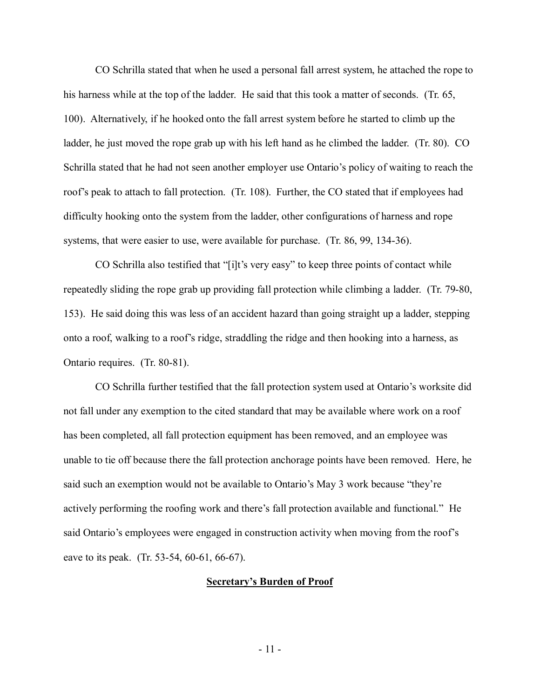his harness while at the top of the ladder. He said that this took a matter of seconds. (Tr. 65, 100). Alternatively, if he hooked onto the fall arrest system before he started to climb up the Schrilla stated that he had not seen another employer use Ontario's policy of waiting to reach the roof's peak to attach to fall protection. (Tr. 108). Further, the CO stated that if employees had systems, that were easier to use, were available for purchase. (Tr. 86, 99, 134-36). CO Schrilla stated that when he used a personal fall arrest system, he attached the rope to ladder, he just moved the rope grab up with his left hand as he climbed the ladder. (Tr. 80). CO difficulty hooking onto the system from the ladder, other configurations of harness and rope

 CO Schrilla also testified that "[i]t's very easy" to keep three points of contact while repeatedly sliding the rope grab up providing fall protection while climbing a ladder. (Tr. 79-80, 153). He said doing this was less of an accident hazard than going straight up a ladder, stepping Ontario requires. (Tr. 80-81). onto a roof, walking to a roof's ridge, straddling the ridge and then hooking into a harness, as

 CO Schrilla further testified that the fall protection system used at Ontario's worksite did not fall under any exemption to the cited standard that may be available where work on a roof unable to tie off because there the fall protection anchorage points have been removed. Here, he said such an exemption would not be available to Ontario's May 3 work because "they're actively performing the roofing work and there's fall protection available and functional." He said Ontario's employees were engaged in construction activity when moving from the roof's eave to its peak. (Tr. 53-54, 60-61, 66-67). has been completed, all fall protection equipment has been removed, and an employee was

#### **Secretary's Burden of Proof**

- 11 -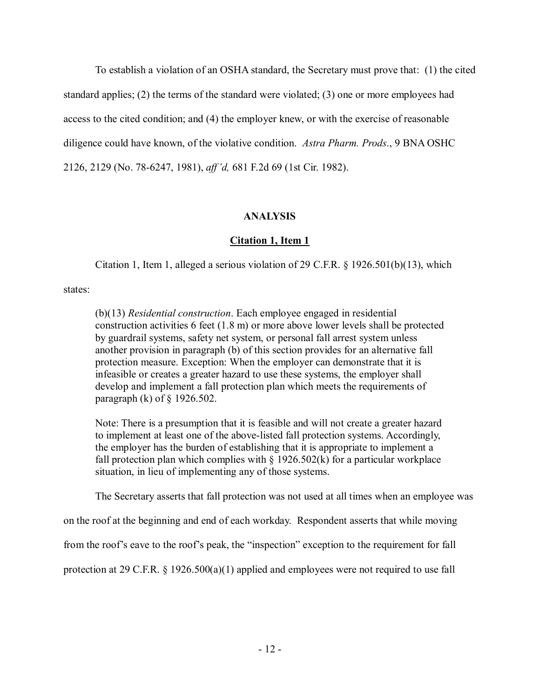To establish a violation of an OSHA standard, the Secretary must prove that: (1) the cited diligence could have known, of the violative condition. *Astra Pharm. Prods*., 9 BNA OSHC 2126, 2129 (No. 78-6247, 1981), *aff 'd,* 681 F.2d 69 (1st Cir. 1982). standard applies; (2) the terms of the standard were violated; (3) one or more employees had access to the cited condition; and (4) the employer knew, or with the exercise of reasonable

## **ANALYSIS**

# **Citation 1, Item 1**

Citation 1, Item 1, alleged a serious violation of 29 C.F.R. § 1926.501(b)(13), which

states:

 construction activities 6 feet (1.8 m) or more above lower levels shall be protected by guardrail systems, safety net system, or personal fall arrest system unless another provision in paragraph (b) of this section provides for an alternative fall infeasible or creates a greater hazard to use these systems, the employer shall paragraph (k) of § 1926.502. (b)(13) *Residential construction*. Each employee engaged in residential protection measure. Exception: When the employer can demonstrate that it is develop and implement a fall protection plan which meets the requirements of

 to implement at least one of the above-listed fall protection systems. Accordingly, Note: There is a presumption that it is feasible and will not create a greater hazard the employer has the burden of establishing that it is appropriate to implement a fall protection plan which complies with  $\S$  1926.502(k) for a particular workplace situation, in lieu of implementing any of those systems.

The Secretary asserts that fall protection was not used at all times when an employee was

on the roof at the beginning and end of each workday. Respondent asserts that while moving

from the roof's eave to the roof's peak, the "inspection" exception to the requirement for fall

protection at 29 C.F.R. § 1926.500(a)(1) applied and employees were not required to use fall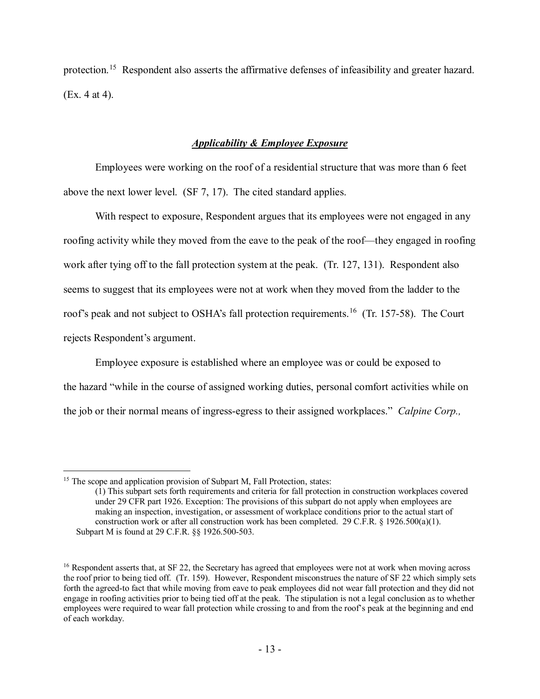protection.<sup>[15](#page-12-0)</sup> Respondent also asserts the affirmative defenses of infeasibility and greater hazard. (Ex. 4 at 4).

## *Applicability & Employee Exposure*

 Employees were working on the roof of a residential structure that was more than 6 feet above the next lower level. (SF 7, 17). The cited standard applies.

 roofing activity while they moved from the eave to the peak of the roof—they engaged in roofing work after tying off to the fall protection system at the peak. (Tr. 127, 131). Respondent also roof's peak and not subject to OSHA's fall protection requirements.<sup>16</sup> (Tr. 157-58). The Court With respect to exposure, Respondent argues that its employees were not engaged in any seems to suggest that its employees were not at work when they moved from the ladder to the rejects Respondent's argument.

 Employee exposure is established where an employee was or could be exposed to the hazard "while in the course of assigned working duties, personal comfort activities while on the job or their normal means of ingress-egress to their assigned workplaces." *Calpine Corp.,* 

 $\overline{a}$ 

<span id="page-12-0"></span><sup>&</sup>lt;sup>15</sup> The scope and application provision of Subpart M, Fall Protection, states:

 (1) This subpart sets forth requirements and criteria for fall protection in construction workplaces covered under 29 CFR part 1926. Exception: The provisions of this subpart do not apply when employees are construction work or after all construction work has been completed. 29 C.F.R.  $\S$  1926.500(a)(1). making an inspection, investigation, or assessment of workplace conditions prior to the actual start of Subpart M is found at 29 C.F.R. §§ 1926.500-503.

<span id="page-12-1"></span> the roof prior to being tied off. (Tr. 159). However, Respondent misconstrues the nature of SF 22 which simply sets forth the agreed-to fact that while moving from eave to peak employees did not wear fall protection and they did not engage in roofing activities prior to being tied off at the peak. The stipulation is not a legal conclusion as to whether employees were required to wear fall protection while crossing to and from the roof's peak at the beginning and end <sup>16</sup> Respondent asserts that, at SF 22, the Secretary has agreed that employees were not at work when moving across of each workday.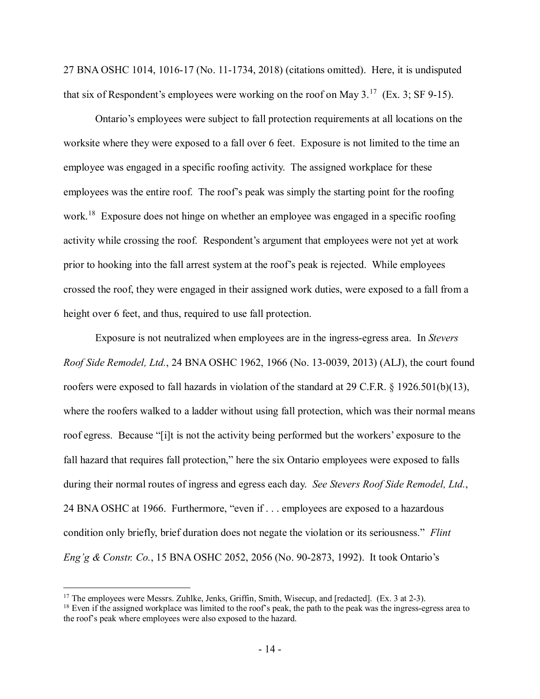27 BNA OSHC 1014, 1016-17 (No. 11-1734, 2018) (citations omitted). Here, it is undisputed that six of Respondent's employees were working on the roof on May  $3.^{17}$  $3.^{17}$  $3.^{17}$  (Ex. 3; SF 9-15).

 worksite where they were exposed to a fall over 6 feet. Exposure is not limited to the time an employees was the entire roof. The roof's peak was simply the starting point for the roofing work.<sup>[18](#page-13-1)</sup> Exposure does not hinge on whether an employee was engaged in a specific roofing activity while crossing the roof. Respondent's argument that employees were not yet at work prior to hooking into the fall arrest system at the roof's peak is rejected. While employees crossed the roof, they were engaged in their assigned work duties, were exposed to a fall from a height over 6 feet, and thus, required to use fall protection. Ontario's employees were subject to fall protection requirements at all locations on the employee was engaged in a specific roofing activity. The assigned workplace for these

 *Roof Side Remodel, Ltd.*, 24 BNA OSHC 1962, 1966 (No. 13-0039, 2013) (ALJ), the court found roofers were exposed to fall hazards in violation of the standard at 29 C.F.R. § 1926.501(b)(13), where the roofers walked to a ladder without using fall protection, which was their normal means roof egress. Because "[i]t is not the activity being performed but the workers' exposure to the fall hazard that requires fall protection," here the six Ontario employees were exposed to falls during their normal routes of ingress and egress each day. *See Stevers Roof Side Remodel, Ltd.*, 24 BNA OSHC at 1966. Furthermore, "even if . . . employees are exposed to a hazardous *Eng'g & Constr. Co.*, 15 BNA OSHC 2052, 2056 (No. 90-2873, 1992). It took Ontario's Exposure is not neutralized when employees are in the ingress-egress area. In *Stevers*  condition only briefly, brief duration does not negate the violation or its seriousness." *Flint* 

<span id="page-13-0"></span><sup>&</sup>lt;sup>17</sup> The employees were Messrs. Zuhlke, Jenks, Griffin, Smith, Wisecup, and [redacted]. (Ex. 3 at 2-3).

<span id="page-13-1"></span> $18$  Even if the assigned workplace was limited to the roof's peak, the path to the peak was the ingress-egress area to the roof's peak where employees were also exposed to the hazard.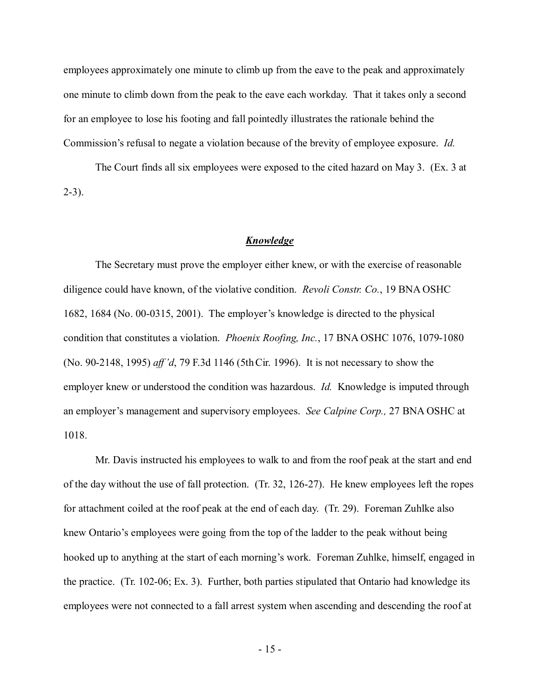employees approximately one minute to climb up from the eave to the peak and approximately for an employee to lose his footing and fall pointedly illustrates the rationale behind the Commission's refusal to negate a violation because of the brevity of employee exposure. *Id.*  one minute to climb down from the peak to the eave each workday. That it takes only a second

 The Court finds all six employees were exposed to the cited hazard on May 3. (Ex. 3 at 2-3).

#### *Knowledge*

 diligence could have known, of the violative condition. *Revoli Constr. Co.*, 19 BNA OSHC 1682, 1684 (No. 00-0315, 2001). The employer's knowledge is directed to the physical condition that constitutes a violation. *Phoenix Roofing, Inc.*, 17 BNA OSHC 1076, 1079-1080 (No. 90-2148, 1995) *aff 'd*, 79 F.3d 1146 (5th Cir. 1996). It is not necessary to show the employer knew or understood the condition was hazardous. *Id.* Knowledge is imputed through The Secretary must prove the employer either knew, or with the exercise of reasonable an employer's management and supervisory employees. *See Calpine Corp.,* 27 BNA OSHC at 1018.

 of the day without the use of fall protection. (Tr. 32, 126-27). He knew employees left the ropes for attachment coiled at the roof peak at the end of each day. (Tr. 29). Foreman Zuhlke also hooked up to anything at the start of each morning's work. Foreman Zuhlke, himself, engaged in the practice. (Tr. 102-06; Ex. 3). Further, both parties stipulated that Ontario had knowledge its employees were not connected to a fall arrest system when ascending and descending the roof at Mr. Davis instructed his employees to walk to and from the roof peak at the start and end knew Ontario's employees were going from the top of the ladder to the peak without being

- 15 -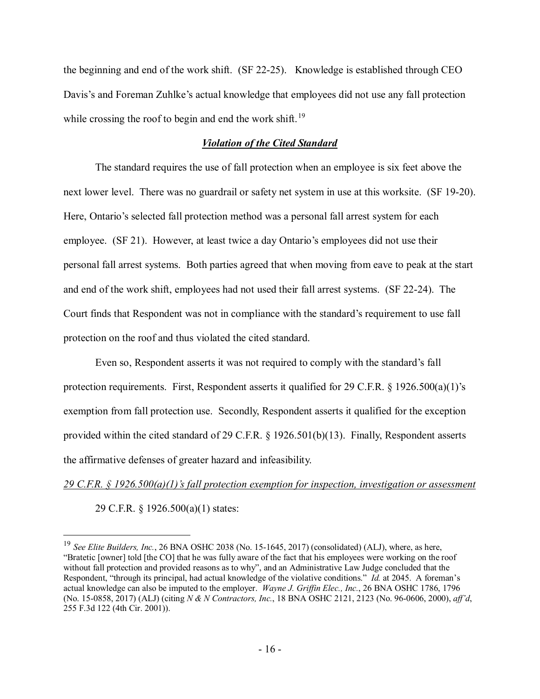the beginning and end of the work shift. (SF 22-25). Knowledge is established through CEO while crossing the roof to begin and end the work shift.<sup>[19](#page-15-0)</sup> Davis's and Foreman Zuhlke's actual knowledge that employees did not use any fall protection

### *Violation of the Cited Standard*

 The standard requires the use of fall protection when an employee is six feet above the next lower level. There was no guardrail or safety net system in use at this worksite. (SF 19-20). Here, Ontario's selected fall protection method was a personal fall arrest system for each employee. (SF 21). However, at least twice a day Ontario's employees did not use their personal fall arrest systems. Both parties agreed that when moving from eave to peak at the start and end of the work shift, employees had not used their fall arrest systems. (SF 22-24). The Court finds that Respondent was not in compliance with the standard's requirement to use fall protection on the roof and thus violated the cited standard.

 Even so, Respondent asserts it was not required to comply with the standard's fall exemption from fall protection use. Secondly, Respondent asserts it qualified for the exception provided within the cited standard of 29 C.F.R. § 1926.501(b)(13). Finally, Respondent asserts protection requirements. First, Respondent asserts it qualified for 29 C.F.R. § 1926.500(a)(1)'s the affirmative defenses of greater hazard and infeasibility.

*29 C.F.R. § 1926.500(a)(1)'s fall protection exemption for inspection, investigation or assessment* 

29 C.F.R. § 1926.500(a)(1) states:

<span id="page-15-0"></span><sup>&</sup>lt;sup>19</sup> See Elite Builders, Inc., 26 BNA OSHC 2038 (No. 15-1645, 2017) (consolidated) (ALJ), where, as here, "Bratetic [owner] told [the CO] that he was fully aware of the fact that his employees were working on the roof without fall protection and provided reasons as to why", and an Administrative Law Judge concluded that the Respondent, "through its principal, had actual knowledge of the violative conditions." *Id.* at 2045. A foreman's actual knowledge can also be imputed to the employer. *Wayne J. Griffin Elec., Inc.*, 26 BNA OSHC 1786, 1796 (No. 15-0858, 2017) (ALJ) (citing *N & N Contractors, Inc.*, 18 BNA OSHC 2121, 2123 (No. 96-0606, 2000), *aff'd*, 255 F.3d 122 (4th Cir. 2001)).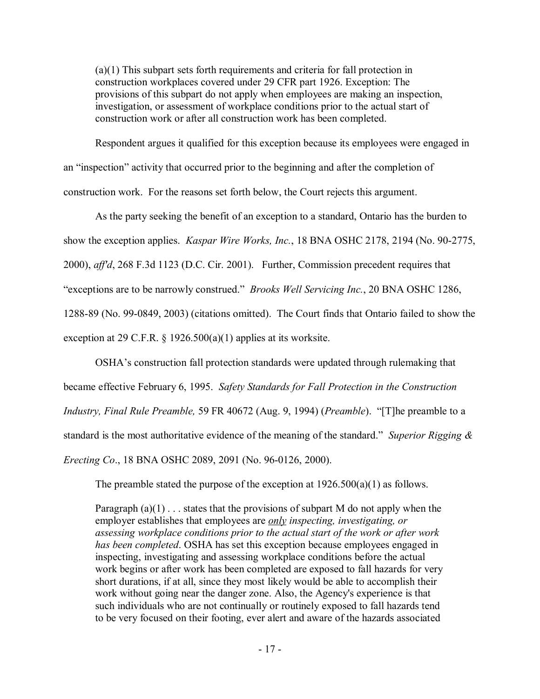construction work or after all construction work has been completed. (a)(1) This subpart sets forth requirements and criteria for fall protection in construction workplaces covered under 29 CFR part 1926. Exception: The provisions of this subpart do not apply when employees are making an inspection, investigation, or assessment of workplace conditions prior to the actual start of

 construction work or after all construction work has been completed. Respondent argues it qualified for this exception because its employees were engaged in an "inspection" activity that occurred prior to the beginning and after the completion of construction work. For the reasons set forth below, the Court rejects this argument.

 show the exception applies. *Kaspar Wire Works, Inc.*, 18 BNA OSHC 2178, 2194 (No. 90-2775, 2000), *aff'd*, 268 F.3d 1123 (D.C. Cir. 2001). Further, Commission precedent requires that 1288-89 (No. 99-0849, 2003) (citations omitted). The Court finds that Ontario failed to show the As the party seeking the benefit of an exception to a standard, Ontario has the burden to "exceptions are to be narrowly construed." *Brooks Well Servicing Inc.*, 20 BNA OSHC 1286, exception at 29 C.F.R.  $\S$  1926.500(a)(1) applies at its worksite.

 OSHA's construction fall protection standards were updated through rulemaking that became effective February 6, 1995. *Safety Standards for Fall Protection in the Construction*  standard is the most authoritative evidence of the meaning of the standard." *Superior Rigging & Erecting Co*., 18 BNA OSHC 2089, 2091 (No. 96-0126, 2000). *Industry, Final Rule Preamble,* 59 FR 40672 (Aug. 9, 1994) (*Preamble*). "[T]he preamble to a

The preamble stated the purpose of the exception at  $1926.500(a)(1)$  as follows.

employer establishes that employees are *only inspecting, investigating, or assessing workplace conditions prior to the actual start of the work or after work has been completed*. OSHA has set this exception because employees engaged in short durations, if at all, since they most likely would be able to accomplish their Paragraph  $(a)(1)$ ... states that the provisions of subpart M do not apply when the inspecting, investigating and assessing workplace conditions before the actual work begins or after work has been completed are exposed to fall hazards for very work without going near the danger zone. Also, the Agency's experience is that such individuals who are not continually or routinely exposed to fall hazards tend to be very focused on their footing, ever alert and aware of the hazards associated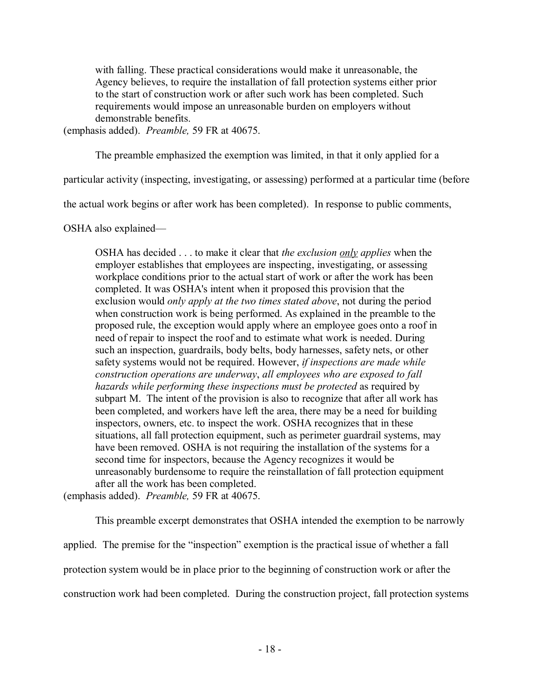Agency believes, to require the installation of fall protection systems either prior demonstrable benefits. with falling. These practical considerations would make it unreasonable, the to the start of construction work or after such work has been completed. Such requirements would impose an unreasonable burden on employers without

(emphasis added). *Preamble,* 59 FR at 40675.

The preamble emphasized the exemption was limited, in that it only applied for a

particular activity (inspecting, investigating, or assessing) performed at a particular time (before

the actual work begins or after work has been completed). In response to public comments,

OSHA also explained—

 workplace conditions prior to the actual start of work or after the work has been such an inspection, guardrails, body belts, body harnesses, safety nets, or other  safety systems would not be required. However, *if inspections are made while*  subpart M. The intent of the provision is also to recognize that after all work has been completed, and workers have left the area, there may be a need for building situations, all fall protection equipment, such as perimeter guardrail systems, may second time for inspectors, because the Agency recognizes it would be unreasonably burdensome to require the reinstallation of fall protection equipment OSHA has decided . . . to make it clear that *the exclusion only applies* when the employer establishes that employees are inspecting, investigating, or assessing completed. It was OSHA's intent when it proposed this provision that the exclusion would *only apply at the two times stated above*, not during the period when construction work is being performed. As explained in the preamble to the proposed rule, the exception would apply where an employee goes onto a roof in need of repair to inspect the roof and to estimate what work is needed. During *construction operations are underway*, *all employees who are exposed to fall hazards while performing these inspections must be protected* as required by inspectors, owners, etc. to inspect the work. OSHA recognizes that in these have been removed. OSHA is not requiring the installation of the systems for a after all the work has been completed.

(emphasis added). *Preamble,* 59 FR at 40675.

 applied. The premise for the "inspection" exemption is the practical issue of whether a fall protection system would be in place prior to the beginning of construction work or after the construction work had been completed. During the construction project, fall protection systems This preamble excerpt demonstrates that OSHA intended the exemption to be narrowly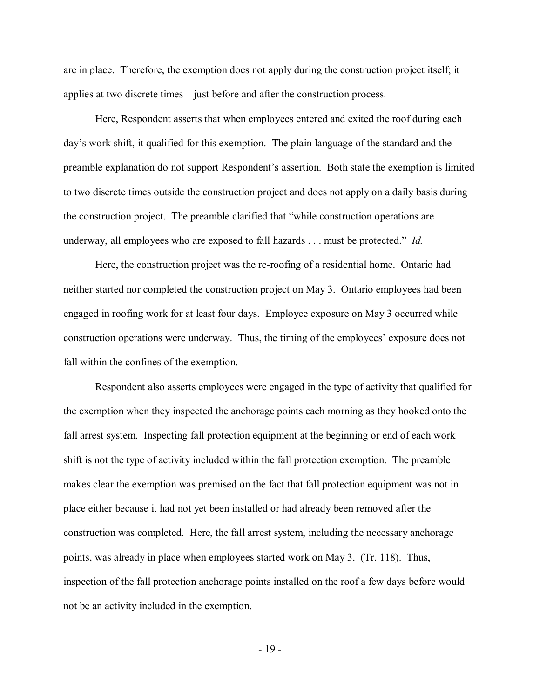are in place. Therefore, the exemption does not apply during the construction project itself; it applies at two discrete times—just before and after the construction process. applies at two discrete times—just before and after the construction process. Here, Respondent asserts that when employees entered and exited the roof during each

 day's work shift, it qualified for this exemption. The plain language of the standard and the preamble explanation do not support Respondent's assertion. Both state the exemption is limited to two discrete times outside the construction project and does not apply on a daily basis during the construction project. The preamble clarified that "while construction operations are underway, all employees who are exposed to fall hazards . . . must be protected." *Id.* 

 Here, the construction project was the re-roofing of a residential home. Ontario had neither started nor completed the construction project on May 3. Ontario employees had been engaged in roofing work for at least four days. Employee exposure on May 3 occurred while construction operations were underway. Thus, the timing of the employees' exposure does not fall within the confines of the exemption.

 shift is not the type of activity included within the fall protection exemption. The preamble makes clear the exemption was premised on the fact that fall protection equipment was not in construction was completed. Here, the fall arrest system, including the necessary anchorage points, was already in place when employees started work on May 3. (Tr. 118). Thus, inspection of the fall protection anchorage points installed on the roof a few days before would not be an activity included in the exemption. Respondent also asserts employees were engaged in the type of activity that qualified for the exemption when they inspected the anchorage points each morning as they hooked onto the fall arrest system. Inspecting fall protection equipment at the beginning or end of each work place either because it had not yet been installed or had already been removed after the

- 19 -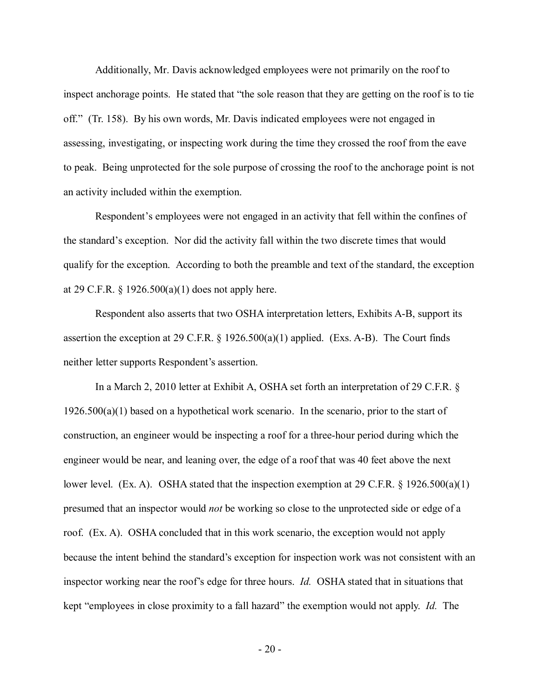inspect anchorage points. He stated that "the sole reason that they are getting on the roof is to tie off." (Tr. 158). By his own words, Mr. Davis indicated employees were not engaged in Additionally, Mr. Davis acknowledged employees were not primarily on the roof to assessing, investigating, or inspecting work during the time they crossed the roof from the eave to peak. Being unprotected for the sole purpose of crossing the roof to the anchorage point is not an activity included within the exemption.

 Respondent's employees were not engaged in an activity that fell within the confines of the standard's exception. Nor did the activity fall within the two discrete times that would qualify for the exception. According to both the preamble and text of the standard, the exception at 29 C.F.R.  $\S$  1926.500(a)(1) does not apply here.

assertion the exception at 29 C.F.R.  $\S$  1926.500(a)(1) applied. (Exs. A-B). The Court finds neither letter supports Respondent's assertion. Respondent also asserts that two OSHA interpretation letters, Exhibits A-B, support its

 In a March 2, 2010 letter at Exhibit A, OSHA set forth an interpretation of 29 C.F.R. §  $1926.500(a)(1)$  based on a hypothetical work scenario. In the scenario, prior to the start of construction, an engineer would be inspecting a roof for a three-hour period during which the engineer would be near, and leaning over, the edge of a roof that was 40 feet above the next lower level. (Ex. A). OSHA stated that the inspection exemption at 29 C.F.R. § 1926.500(a)(1) presumed that an inspector would *not* be working so close to the unprotected side or edge of a roof. (Ex. A). OSHA concluded that in this work scenario, the exception would not apply inspector working near the roof's edge for three hours. *Id.* OSHA stated that in situations that kept "employees in close proximity to a fall hazard" the exemption would not apply. *Id.* The because the intent behind the standard's exception for inspection work was not consistent with an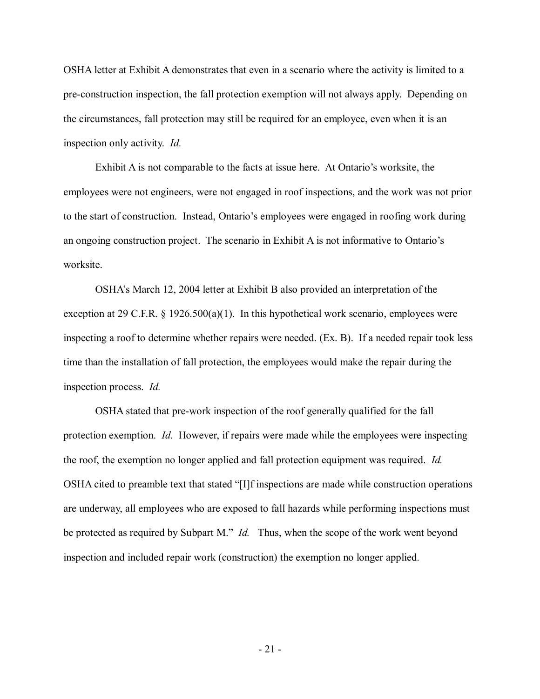OSHA letter at Exhibit A demonstrates that even in a scenario where the activity is limited to a pre-construction inspection, the fall protection exemption will not always apply. Depending on the circumstances, fall protection may still be required for an employee, even when it is an inspection only activity. *Id.* 

 to the start of construction. Instead, Ontario's employees were engaged in roofing work during an ongoing construction project. The scenario in Exhibit A is not informative to Ontario's Exhibit A is not comparable to the facts at issue here. At Ontario's worksite, the employees were not engineers, were not engaged in roof inspections, and the work was not prior worksite.

 OSHA's March 12, 2004 letter at Exhibit B also provided an interpretation of the exception at 29 C.F.R. § 1926.500(a)(1). In this hypothetical work scenario, employees were inspecting a roof to determine whether repairs were needed. (Ex. B). If a needed repair took less time than the installation of fall protection, the employees would make the repair during the inspection process. *Id.* 

 OSHA stated that pre-work inspection of the roof generally qualified for the fall protection exemption. *Id.* However, if repairs were made while the employees were inspecting the roof, the exemption no longer applied and fall protection equipment was required. *Id.*  OSHA cited to preamble text that stated "[I]f inspections are made while construction operations be protected as required by Subpart M." *Id.* Thus, when the scope of the work went beyond are underway, all employees who are exposed to fall hazards while performing inspections must inspection and included repair work (construction) the exemption no longer applied.

- 21 -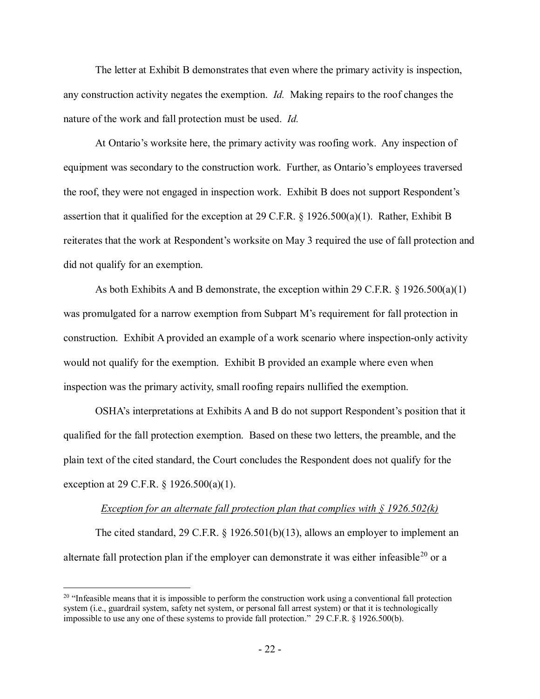The letter at Exhibit B demonstrates that even where the primary activity is inspection,  any construction activity negates the exemption. *Id.* Making repairs to the roof changes the nature of the work and fall protection must be used. *Id.* 

 At Ontario's worksite here, the primary activity was roofing work. Any inspection of equipment was secondary to the construction work. Further, as Ontario's employees traversed assertion that it qualified for the exception at 29 C.F.R.  $\S$  1926.500(a)(1). Rather, Exhibit B reiterates that the work at Respondent's worksite on May 3 required the use of fall protection and the roof, they were not engaged in inspection work. Exhibit B does not support Respondent's did not qualify for an exemption.

 As both Exhibits A and B demonstrate, the exception within 29 C.F.R. § 1926.500(a)(1) construction. Exhibit A provided an example of a work scenario where inspection-only activity would not qualify for the exemption. Exhibit B provided an example where even when was promulgated for a narrow exemption from Subpart M's requirement for fall protection in inspection was the primary activity, small roofing repairs nullified the exemption.

 OSHA's interpretations at Exhibits A and B do not support Respondent's position that it qualified for the fall protection exemption. Based on these two letters, the preamble, and the exception at 29 C.F.R. § 1926.500(a)(1). plain text of the cited standard, the Court concludes the Respondent does not qualify for the

### Exception for an alternate fall protection plan that complies with § 1926.502(k)

The cited standard, 29 C.F.R. § 1926.501(b)(13), allows an employer to implement an alternate fall protection plan if the employer can demonstrate it was either infeasible<sup>[20](#page-21-0)</sup> or a

<span id="page-21-0"></span>impossible to use any one of these systems to provide fall protection." 29 C.F.R. § 1926.500(b).<br> $-22$  - $20$  "Infeasible means that it is impossible to perform the construction work using a conventional fall protection system (i.e., guardrail system, safety net system, or personal fall arrest system) or that it is technologically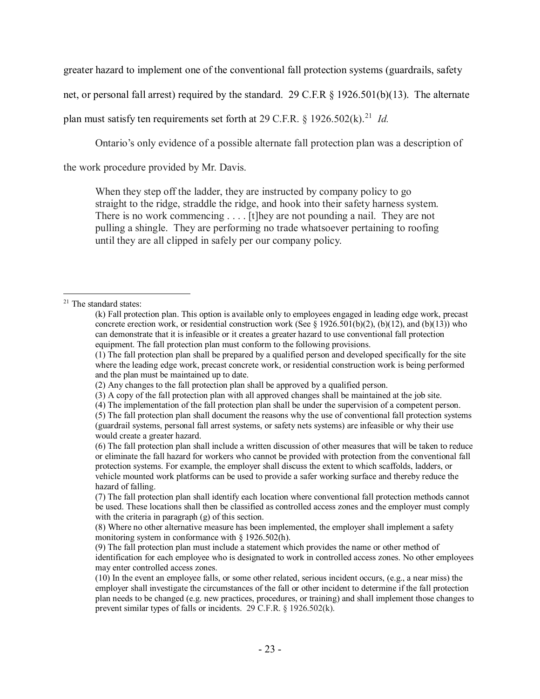greater hazard to implement one of the conventional fall protection systems (guardrails, safety

net, or personal fall arrest) required by the standard. 29 C.F.R § 1926.501(b)(13). The alternate

plan must satisfy ten requirements set forth at 29 C.F.R. § 1926.502(k). [21](#page-22-0) *Id.* 

Ontario's only evidence of a possible alternate fall protection plan was a description of

the work procedure provided by Mr. Davis.

 When they step off the ladder, they are instructed by company policy to go straight to the ridge, straddle the ridge, and hook into their safety harness system. There is no work commencing . . . . [t]hey are not pounding a nail. They are not pulling a shingle. They are performing no trade whatsoever pertaining to roofing until they are all clipped in safely per our company policy.

<span id="page-22-0"></span><sup>-</sup><sup>21</sup> The standard states:

 equipment. The fall protection plan must conform to the following provisions. (k) Fall protection plan. This option is available only to employees engaged in leading edge work, precast concrete erection work, or residential construction work (See  $\S$  1926.501(b)(2), (b)(12), and (b)(13)) who can demonstrate that it is infeasible or it creates a greater hazard to use conventional fall protection

 where the leading edge work, precast concrete work, or residential construction work is being performed (1) The fall protection plan shall be prepared by a qualified person and developed specifically for the site and the plan must be maintained up to date.

 (2) Any changes to the fall protection plan shall be approved by a qualified person.

<sup>(3)</sup> A copy of the fall protection plan with all approved changes shall be maintained at the job site.

<sup>(4)</sup> The implementation of the fall protection plan shall be under the supervision of a competent person.

 would create a greater hazard. (5) The fall protection plan shall document the reasons why the use of conventional fall protection systems (guardrail systems, personal fall arrest systems, or safety nets systems) are infeasible or why their use

 (6) The fall protection plan shall include a written discussion of other measures that will be taken to reduce or eliminate the fall hazard for workers who cannot be provided with protection from the conventional fall protection systems. For example, the employer shall discuss the extent to which scaffolds, ladders, or vehicle mounted work platforms can be used to provide a safer working surface and thereby reduce the hazard of falling.

 (7) The fall protection plan shall identify each location where conventional fall protection methods cannot be used. These locations shall then be classified as controlled access zones and the employer must comply with the criteria in paragraph (g) of this section.

<sup>(8)</sup> Where no other alternative measure has been implemented, the employer shall implement a safety monitoring system in conformance with § 1926.502(h).

<sup>(9)</sup> The fall protection plan must include a statement which provides the name or other method of identification for each employee who is designated to work in controlled access zones. No other employees may enter controlled access zones.

 (10) In the event an employee falls, or some other related, serious incident occurs, (e.g., a near miss) the employer shall investigate the circumstances of the fall or other incident to determine if the fall protection plan needs to be changed (e.g. new practices, procedures, or training) and shall implement those changes to prevent similar types of falls or incidents. 29 C.F.R. § 1926.502(k).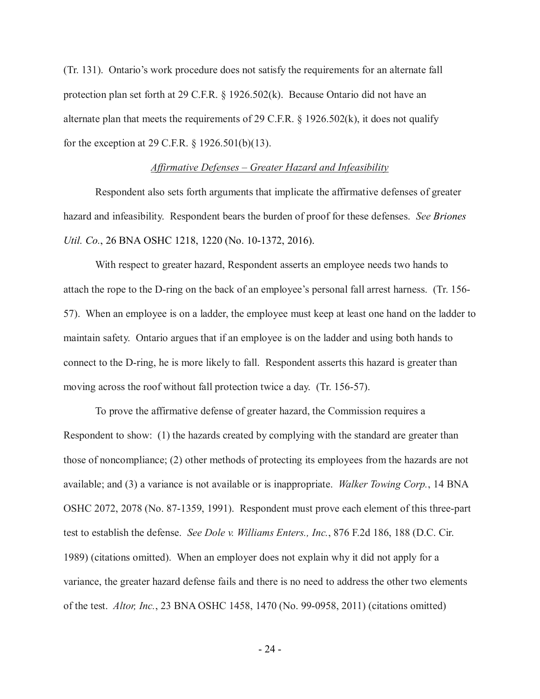(Tr. 131). Ontario's work procedure does not satisfy the requirements for an alternate fall protection plan set forth at 29 C.F.R. § 1926.502(k). Because Ontario did not have an for the exception at 29 C.F.R. § 1926.501(b)(13). alternate plan that meets the requirements of 29 C.F.R.  $\S$  1926.502(k), it does not qualify

#### *Affirmative Defenses – Greater Hazard and Infeasibility*

 Respondent also sets forth arguments that implicate the affirmative defenses of greater hazard and infeasibility. Respondent bears the burden of proof for these defenses. *See Briones Util. Co.*, 26 BNA OSHC 1218, 1220 (No. 10-1372, 2016).

 attach the rope to the D-ring on the back of an employee's personal fall arrest harness. (Tr. 156- 57). When an employee is on a ladder, the employee must keep at least one hand on the ladder to maintain safety. Ontario argues that if an employee is on the ladder and using both hands to moving across the roof without fall protection twice a day. (Tr. 156-57). With respect to greater hazard, Respondent asserts an employee needs two hands to connect to the D-ring, he is more likely to fall. Respondent asserts this hazard is greater than

 Respondent to show: (1) the hazards created by complying with the standard are greater than those of noncompliance; (2) other methods of protecting its employees from the hazards are not available; and (3) a variance is not available or is inappropriate. *Walker Towing Corp.*, 14 BNA test to establish the defense. *See Dole v. Williams Enters., Inc.*, 876 F.2d 186, 188 (D.C. Cir. 1989) (citations omitted). When an employer does not explain why it did not apply for a of the test. *Altor, Inc.*, 23 BNA OSHC 1458, 1470 (No. 99-0958, 2011) (citations omitted) To prove the affirmative defense of greater hazard, the Commission requires a OSHC 2072, 2078 (No. 87-1359, 1991). Respondent must prove each element of this three-part variance, the greater hazard defense fails and there is no need to address the other two elements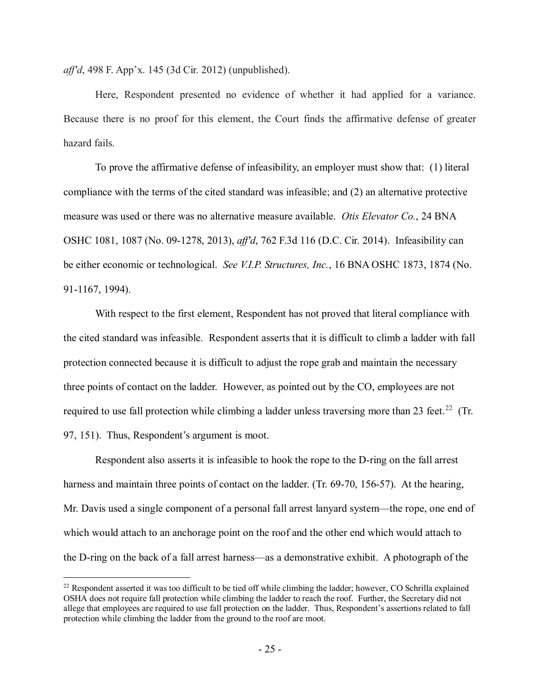*aff'd*, 498 F. App'x. 145 (3d Cir. 2012) (unpublished).

 Because there is no proof for this element, the Court finds the affirmative defense of greater hazard fails. Here, Respondent presented no evidence of whether it had applied for a variance.

 To prove the affirmative defense of infeasibility, an employer must show that: (1) literal measure was used or there was no alternative measure available. *Otis Elevator Co.*, 24 BNA OSHC 1081, 1087 (No. 09-1278, 2013), *aff'd*, 762 F.3d 116 (D.C. Cir. 2014). Infeasibility can compliance with the terms of the cited standard was infeasible; and (2) an alternative protective be either economic or technological. *See V.I.P. Structures, Inc.*, 16 BNA OSHC 1873, 1874 (No. 91-1167, 1994).

 protection connected because it is difficult to adjust the rope grab and maintain the necessary required to use fall protection while climbing a ladder unless traversing more than 23 feet.<sup>[22](#page-24-0)</sup> (Tr. With respect to the first element, Respondent has not proved that literal compliance with the cited standard was infeasible. Respondent asserts that it is difficult to climb a ladder with fall three points of contact on the ladder. However, as pointed out by the CO, employees are not 97, 151). Thus, Respondent's argument is moot.

 Respondent also asserts it is infeasible to hook the rope to the D-ring on the fall arrest harness and maintain three points of contact on the ladder. (Tr. 69-70, 156-57). At the hearing, Mr. Davis used a single component of a personal fall arrest lanyard system—the rope, one end of which would attach to an anchorage point on the roof and the other end which would attach to the D-ring on the back of a fall arrest harness—as a demonstrative exhibit. A photograph of the

-

<span id="page-24-0"></span> $22$  Respondent asserted it was too difficult to be tied off while climbing the ladder; however, CO Schrilla explained OSHA does not require fall protection while climbing the ladder to reach the roof. Further, the Secretary did not allege that employees are required to use fall protection on the ladder. Thus, Respondent's assertions related to fall protection while climbing the ladder from the ground to the roof are moot.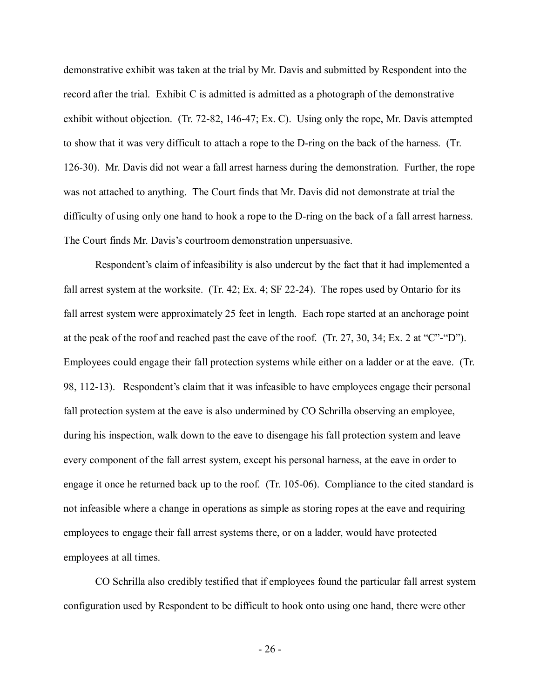demonstrative exhibit was taken at the trial by Mr. Davis and submitted by Respondent into the exhibit without objection. (Tr. 72-82, 146-47; Ex. C). Using only the rope, Mr. Davis attempted to show that it was very difficult to attach a rope to the D-ring on the back of the harness. (Tr. 126-30). Mr. Davis did not wear a fall arrest harness during the demonstration. Further, the rope was not attached to anything. The Court finds that Mr. Davis did not demonstrate at trial the difficulty of using only one hand to hook a rope to the D-ring on the back of a fall arrest harness. record after the trial. Exhibit C is admitted is admitted as a photograph of the demonstrative The Court finds Mr. Davis's courtroom demonstration unpersuasive.

 fall arrest system at the worksite. (Tr. 42; Ex. 4; SF 22-24). The ropes used by Ontario for its fall arrest system were approximately 25 feet in length. Each rope started at an anchorage point Employees could engage their fall protection systems while either on a ladder or at the eave. (Tr. 98, 112-13). Respondent's claim that it was infeasible to have employees engage their personal fall protection system at the eave is also undermined by CO Schrilla observing an employee, during his inspection, walk down to the eave to disengage his fall protection system and leave every component of the fall arrest system, except his personal harness, at the eave in order to engage it once he returned back up to the roof. (Tr. 105-06). Compliance to the cited standard is not infeasible where a change in operations as simple as storing ropes at the eave and requiring employees to engage their fall arrest systems there, or on a ladder, would have protected Respondent's claim of infeasibility is also undercut by the fact that it had implemented a at the peak of the roof and reached past the eave of the roof. (Tr. 27, 30, 34; Ex. 2 at "C"-"D"). employees at all times.

 CO Schrilla also credibly testified that if employees found the particular fall arrest system configuration used by Respondent to be difficult to hook onto using one hand, there were other

- 26 -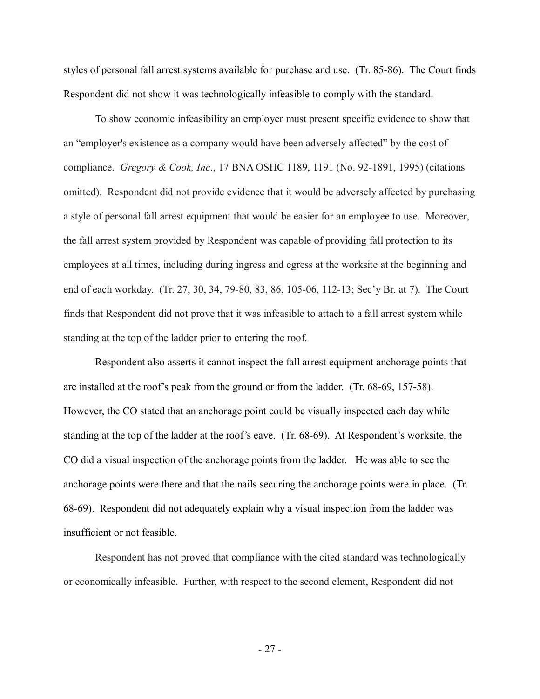styles of personal fall arrest systems available for purchase and use. (Tr. 85-86). The Court finds Respondent did not show it was technologically infeasible to comply with the standard.

 an "employer's existence as a company would have been adversely affected" by the cost of compliance. *Gregory & Cook, Inc*., 17 BNA OSHC 1189, 1191 (No. 92-1891, 1995) (citations omitted). Respondent did not provide evidence that it would be adversely affected by purchasing a style of personal fall arrest equipment that would be easier for an employee to use. Moreover, end of each workday. (Tr. 27, 30, 34, 79-80, 83, 86, 105-06, 112-13; Sec'y Br. at 7). The Court standing at the top of the ladder prior to entering the roof. To show economic infeasibility an employer must present specific evidence to show that the fall arrest system provided by Respondent was capable of providing fall protection to its employees at all times, including during ingress and egress at the worksite at the beginning and finds that Respondent did not prove that it was infeasible to attach to a fall arrest system while

 Respondent also asserts it cannot inspect the fall arrest equipment anchorage points that are installed at the roof's peak from the ground or from the ladder. (Tr. 68-69, 157-58). However, the CO stated that an anchorage point could be visually inspected each day while standing at the top of the ladder at the roof's eave. (Tr. 68-69). At Respondent's worksite, the CO did a visual inspection of the anchorage points from the ladder. He was able to see the anchorage points were there and that the nails securing the anchorage points were in place. (Tr. 68-69). Respondent did not adequately explain why a visual inspection from the ladder was insufficient or not feasible.

 Respondent has not proved that compliance with the cited standard was technologically or economically infeasible. Further, with respect to the second element, Respondent did not

- 27 -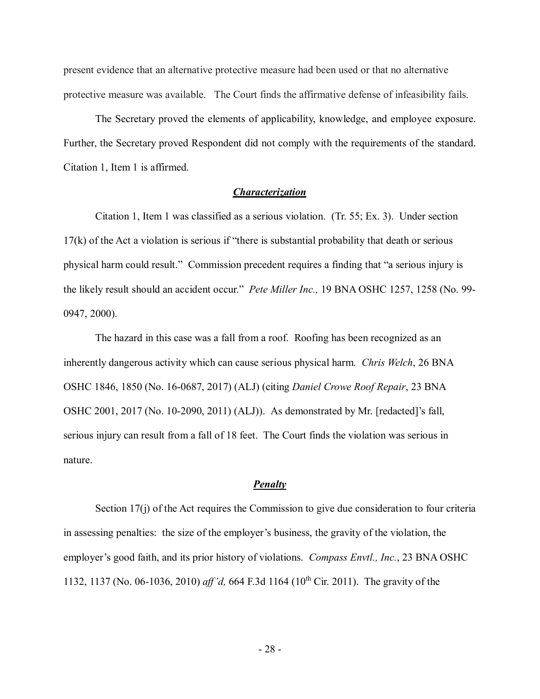present evidence that an alternative protective measure had been used or that no alternative protective measure was available. The Court finds the affirmative defense of infeasibility fails.

The Secretary proved the elements of applicability, knowledge, and employee exposure. Further, the Secretary proved Respondent did not comply with the requirements of the standard. Citation 1, Item 1 is affirmed.

### *Characterization*

 Citation 1, Item 1 was classified as a serious violation. (Tr. 55; Ex. 3). Under section 17(k) of the Act a violation is serious if "there is substantial probability that death or serious physical harm could result." Commission precedent requires a finding that "a serious injury is the likely result should an accident occur." *Pete Miller Inc.,* 19 BNA OSHC 1257, 1258 (No. 99- 0947, 2000). 0947, 2000). The hazard in this case was a fall from a roof. Roofing has been recognized as an

 inherently dangerous activity which can cause serious physical harm. *Chris Welch*, 26 BNA OSHC 1846, 1850 (No. 16-0687, 2017) (ALJ) (citing *Daniel Crowe Roof Repair*, 23 BNA OSHC 2001, 2017 (No. 10-2090, 2011) (ALJ)). As demonstrated by Mr. [redacted]'s fall, serious injury can result from a fall of 18 feet. The Court finds the violation was serious in nature.

#### *Penalty*

 in assessing penalties: the size of the employer's business, the gravity of the violation, the employer's good faith, and its prior history of violations. *Compass Envtl., Inc.*, 23 BNA OSHC 1132, 1137 (No. 06-1036, 2010) *aff'd*, 664 F.3d 1164 (10<sup>th</sup> Cir. 2011). The gravity of the Section 17(j) of the Act requires the Commission to give due consideration to four criteria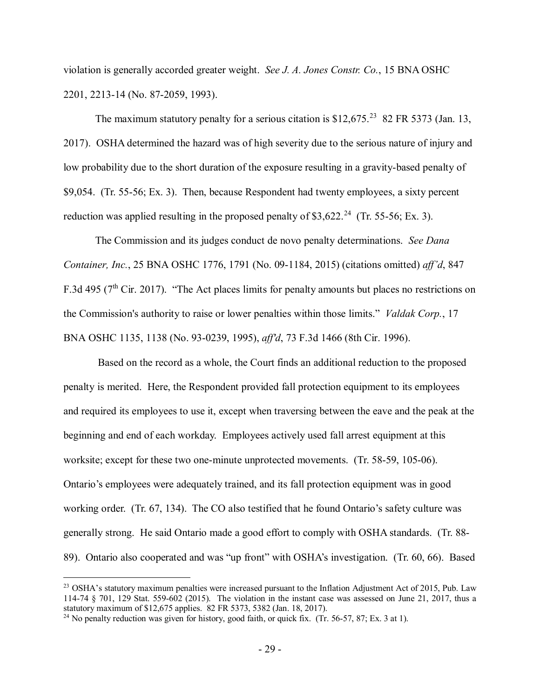violation is generally accorded greater weight. *See J. A. Jones Constr. Co.*, 15 BNA OSHC 2201, 2213-14 (No. 87-2059, 1993).

The maximum statutory penalty for a serious citation is  $$12,675.^{23}$  $$12,675.^{23}$  $$12,675.^{23}$  82 FR 5373 (Jan. 13, 2017). OSHA determined the hazard was of high severity due to the serious nature of injury and low probability due to the short duration of the exposure resulting in a gravity-based penalty of \$9,054. (Tr. 55-56; Ex. 3). Then, because Respondent had twenty employees, a sixty percent reduction was applied resulting in the proposed penalty of  $$3,622.^{24}$  $$3,622.^{24}$  $$3,622.^{24}$  (Tr. 55-56; Ex. 3).

 The Commission and its judges conduct de novo penalty determinations. *See Dana Container, Inc.*, 25 BNA OSHC 1776, 1791 (No. 09-1184, 2015) (citations omitted) *aff'd*, 847 F.3d 495 ( $7<sup>th</sup>$  Cir. 2017). "The Act places limits for penalty amounts but places no restrictions on the Commission's authority to raise or lower penalties within those limits." *Valdak Corp.*, 17 BNA OSHC 1135, 1138 (No. 93-0239, 1995), *aff'd*, 73 F.3d 1466 (8th Cir. 1996).

 Based on the record as a whole, the Court finds an additional reduction to the proposed and required its employees to use it, except when traversing between the eave and the peak at the beginning and end of each workday. Employees actively used fall arrest equipment at this worksite; except for these two one-minute unprotected movements. (Tr. 58-59, 105-06). Ontario's employees were adequately trained, and its fall protection equipment was in good generally strong. He said Ontario made a good effort to comply with OSHA standards. (Tr. 88- 89). Ontario also cooperated and was "up front" with OSHA's investigation. (Tr. 60, 66). Based penalty is merited. Here, the Respondent provided fall protection equipment to its employees working order. (Tr. 67, 134). The CO also testified that he found Ontario's safety culture was

-

<span id="page-28-0"></span> $^{23}$  OSHA's statutory maximum penalties were increased pursuant to the Inflation Adjustment Act of 2015, Pub. Law 114-74 § 701, 129 Stat. 559-602 (2015). The violation in the instant case was assessed on June 21, 2017, thus a statutory maximum of \$12,675 applies. 82 FR 5373, 5382 (Jan. 18, 2017). statutory maximum of \$12,675 applies. 82 FR 5373, 5382 (Jan. 18, 2017).<br><sup>24</sup> No penalty reduction was given for history, good faith, or quick fix. (Tr. 56-57, 87; Ex. 3 at 1).

<span id="page-28-1"></span>